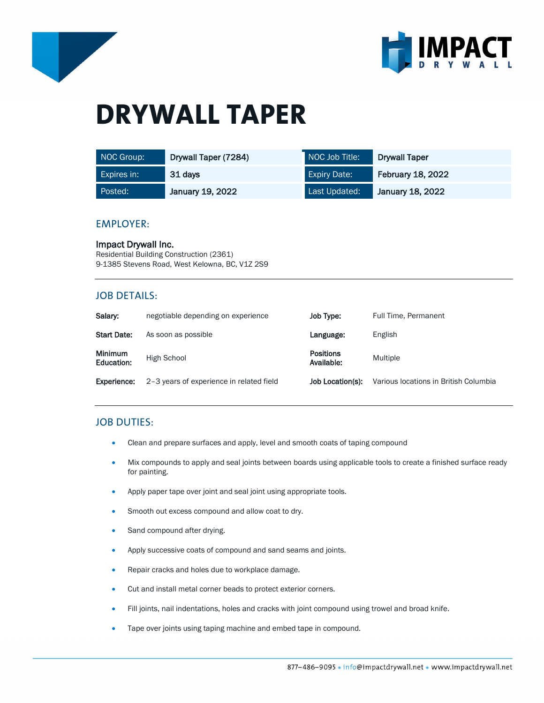



# **DRYWALL TAPER**

| NOC Group:  | Drywall Taper (7284) | NOC Job Title:      | <b>Drywall Taper</b>     |
|-------------|----------------------|---------------------|--------------------------|
| Expires in: | 31 days              | <b>Expiry Date:</b> | <b>February 18, 2022</b> |
| Posted:     | January 19, 2022     | Last Updated:       | January 18, 2022         |

#### EMPLOYER:

Impact Drywall Inc. Residential Building Construction (2361) 9-1385 Stevens Road, West Kelowna, BC, V1Z 2S9

## JOB DETAILS:

| Salary:                      | negotiable depending on experience       | Job Type:                      | Full Time, Permanent                  |
|------------------------------|------------------------------------------|--------------------------------|---------------------------------------|
| <b>Start Date:</b>           | As soon as possible                      | Language:                      | English                               |
| <b>Minimum</b><br>Education: | High School                              | <b>Positions</b><br>Available: | Multiple                              |
| Experience:                  | 2-3 years of experience in related field | Job Location(s):               | Various locations in British Columbia |

# JOB DUTIES:

- Clean and prepare surfaces and apply, level and smooth coats of taping compound
- Mix compounds to apply and seal joints between boards using applicable tools to create a finished surface ready for painting.
- Apply paper tape over joint and seal joint using appropriate tools.
- Smooth out excess compound and allow coat to dry.
- Sand compound after drying.
- Apply successive coats of compound and sand seams and joints.
- Repair cracks and holes due to workplace damage.
- Cut and install metal corner beads to protect exterior corners.
- Fill joints, nail indentations, holes and cracks with joint compound using trowel and broad knife.
- Tape over joints using taping machine and embed tape in compound.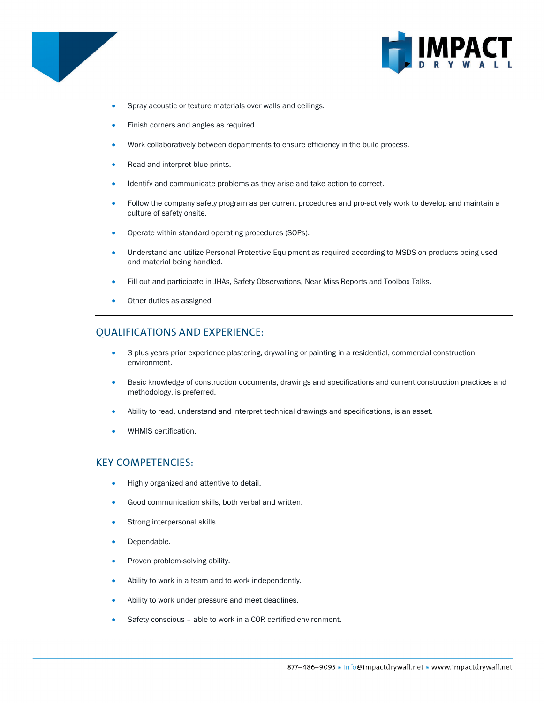



- Spray acoustic or texture materials over walls and ceilings.
- Finish corners and angles as required.
- Work collaboratively between departments to ensure efficiency in the build process.
- Read and interpret blue prints.
- Identify and communicate problems as they arise and take action to correct.
- Follow the company safety program as per current procedures and pro-actively work to develop and maintain a culture of safety onsite.
- Operate within standard operating procedures (SOPs).
- Understand and utilize Personal Protective Equipment as required according to MSDS on products being used and material being handled.
- Fill out and participate in JHAs, Safety Observations, Near Miss Reports and Toolbox Talks.
- Other duties as assigned

# QUALIFICATIONS AND EXPERIENCE:

- 3 plus years prior experience plastering, drywalling or painting in a residential, commercial construction environment.
- Basic knowledge of construction documents, drawings and specifications and current construction practices and methodology, is preferred.
- Ability to read, understand and interpret technical drawings and specifications, is an asset.
- WHMIS certification.

#### KEY COMPETENCIES:

- Highly organized and attentive to detail.
- Good communication skills, both verbal and written.
- Strong interpersonal skills.
- Dependable.
- Proven problem-solving ability.
- Ability to work in a team and to work independently.
- Ability to work under pressure and meet deadlines.
- Safety conscious able to work in a COR certified environment.